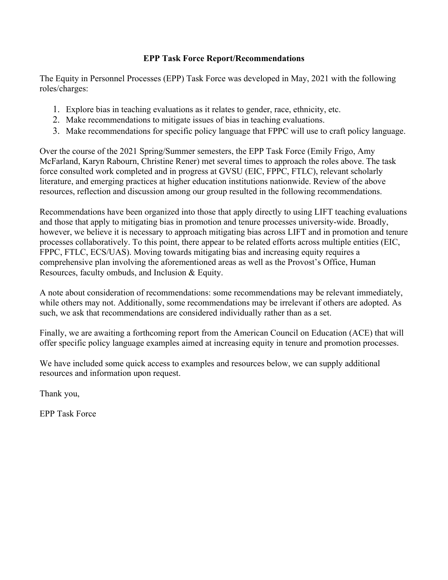## **EPP Task Force Report/Recommendations**

The Equity in Personnel Processes (EPP) Task Force was developed in May, 2021 with the following roles/charges:

- 1. Explore bias in teaching evaluations as it relates to gender, race, ethnicity, etc.
- 2. Make recommendations to mitigate issues of bias in teaching evaluations.
- 3. Make recommendations for specific policy language that FPPC will use to craft policy language.

Over the course of the 2021 Spring/Summer semesters, the EPP Task Force (Emily Frigo, Amy McFarland, Karyn Rabourn, Christine Rener) met several times to approach the roles above. The task force consulted work completed and in progress at GVSU (EIC, FPPC, FTLC), relevant scholarly literature, and emerging practices at higher education institutions nationwide. Review of the above resources, reflection and discussion among our group resulted in the following recommendations.

Recommendations have been organized into those that apply directly to using LIFT teaching evaluations and those that apply to mitigating bias in promotion and tenure processes university-wide. Broadly, however, we believe it is necessary to approach mitigating bias across LIFT and in promotion and tenure processes collaboratively. To this point, there appear to be related efforts across multiple entities (EIC, FPPC, FTLC, ECS/UAS). Moving towards mitigating bias and increasing equity requires a comprehensive plan involving the aforementioned areas as well as the Provost's Office, Human Resources, faculty ombuds, and Inclusion & Equity.

A note about consideration of recommendations: some recommendations may be relevant immediately, while others may not. Additionally, some recommendations may be irrelevant if others are adopted. As such, we ask that recommendations are considered individually rather than as a set.

Finally, we are awaiting a forthcoming report from the American Council on Education (ACE) that will offer specific policy language examples aimed at increasing equity in tenure and promotion processes.

We have included some quick access to examples and resources below, we can supply additional resources and information upon request.

Thank you,

EPP Task Force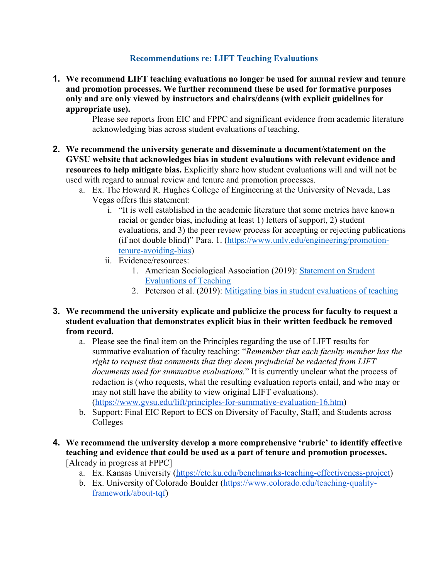## **Recommendations re: LIFT Teaching Evaluations**

**1. We recommend LIFT teaching evaluations no longer be used for annual review and tenure and promotion processes. We further recommend these be used for formative purposes only and are only viewed by instructors and chairs/deans (with explicit guidelines for appropriate use).**

Please see reports from EIC and FPPC and significant evidence from academic literature acknowledging bias across student evaluations of teaching.

- **2. We recommend the university generate and disseminate a document/statement on the GVSU website that acknowledges bias in student evaluations with relevant evidence and resources to help mitigate bias.** Explicitly share how student evaluations will and will not be used with regard to annual review and tenure and promotion processes.
	- a. Ex. The Howard R. Hughes College of Engineering at the University of Nevada, Las Vegas offers this statement:
		- i. "It is well established in the academic literature that some metrics have known racial or gender bias, including at least 1) letters of support, 2) student evaluations, and 3) the peer review process for accepting or rejecting publications (if not double blind)" Para. 1. (https://www.unlv.edu/engineering/promotiontenure-avoiding-bias)
		- ii. Evidence/resources:
			- 1. American Sociological Association (2019): Statement on Student Evaluations of Teaching
			- 2. Peterson et al. (2019): Mitigating bias in student evaluations of teaching
- **3. We recommend the university explicate and publicize the process for faculty to request a student evaluation that demonstrates explicit bias in their written feedback be removed from record.** 
	- a. Please see the final item on the Principles regarding the use of LIFT results for summative evaluation of faculty teaching: "*Remember that each faculty member has the right to request that comments that they deem prejudicial be redacted from LIFT documents used for summative evaluations.*" It is currently unclear what the process of redaction is (who requests, what the resulting evaluation reports entail, and who may or may not still have the ability to view original LIFT evaluations). (https://www.gvsu.edu/lift/principles-for-summative-evaluation-16.htm)
	- b. Support: Final EIC Report to ECS on Diversity of Faculty, Staff, and Students across Colleges
- **4. We recommend the university develop a more comprehensive 'rubric' to identify effective teaching and evidence that could be used as a part of tenure and promotion processes.**  [Already in progress at FPPC]
	- a. Ex. Kansas University (https://cte.ku.edu/benchmarks-teaching-effectiveness-project)
	- b. Ex. University of Colorado Boulder (https://www.colorado.edu/teaching-qualityframework/about-tqf)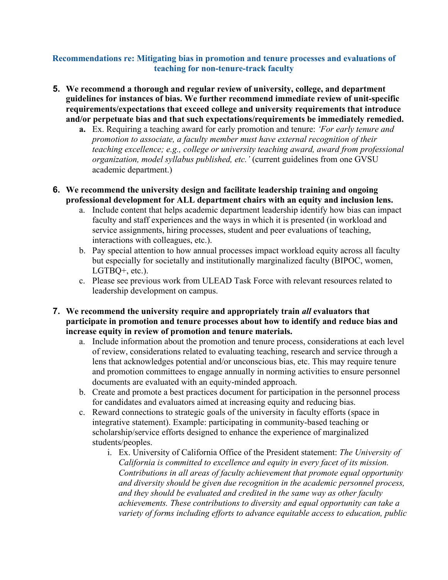## **Recommendations re: Mitigating bias in promotion and tenure processes and evaluations of teaching for non-tenure-track faculty**

- **5. We recommend a thorough and regular review of university, college, and department guidelines for instances of bias. We further recommend immediate review of unit-specific requirements/expectations that exceed college and university requirements that introduce and/or perpetuate bias and that such expectations/requirements be immediately remedied.** 
	- **a.** Ex. Requiring a teaching award for early promotion and tenure: *'For early tenure and promotion to associate, a faculty member must have external recognition of their teaching excellence; e.g., college or university teaching award, award from professional organization, model syllabus published, etc.'* (current guidelines from one GVSU academic department.)
- **6. We recommend the university design and facilitate leadership training and ongoing professional development for ALL department chairs with an equity and inclusion lens.** 
	- a. Include content that helps academic department leadership identify how bias can impact faculty and staff experiences and the ways in which it is presented (in workload and service assignments, hiring processes, student and peer evaluations of teaching, interactions with colleagues, etc.).
	- b. Pay special attention to how annual processes impact workload equity across all faculty but especially for societally and institutionally marginalized faculty (BIPOC, women, LGTBQ+, etc.).
	- c. Please see previous work from ULEAD Task Force with relevant resources related to leadership development on campus.
- **7. We recommend the university require and appropriately train** *all* **evaluators that participate in promotion and tenure processes about how to identify and reduce bias and increase equity in review of promotion and tenure materials.** 
	- a. Include information about the promotion and tenure process, considerations at each level of review, considerations related to evaluating teaching, research and service through a lens that acknowledges potential and/or unconscious bias, etc. This may require tenure and promotion committees to engage annually in norming activities to ensure personnel documents are evaluated with an equity-minded approach.
	- b. Create and promote a best practices document for participation in the personnel process for candidates and evaluators aimed at increasing equity and reducing bias.
	- c. Reward connections to strategic goals of the university in faculty efforts (space in integrative statement). Example: participating in community-based teaching or scholarship/service efforts designed to enhance the experience of marginalized students/peoples.
		- i. Ex. University of California Office of the President statement: *The University of California is committed to excellence and equity in every facet of its mission. Contributions in all areas of faculty achievement that promote equal opportunity and diversity should be given due recognition in the academic personnel process, and they should be evaluated and credited in the same way as other faculty achievements. These contributions to diversity and equal opportunity can take a variety of forms including efforts to advance equitable access to education, public*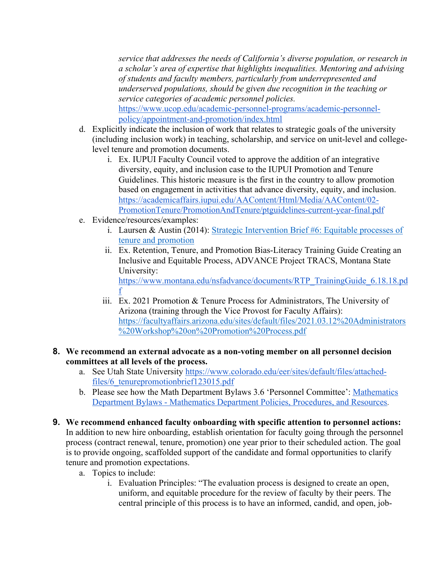*service that addresses the needs of California's diverse population, or research in a scholar's area of expertise that highlights inequalities. Mentoring and advising of students and faculty members, particularly from underrepresented and underserved populations, should be given due recognition in the teaching or service categories of academic personnel policies.*  https://www.ucop.edu/academic-personnel-programs/academic-personnelpolicy/appointment-and-promotion/index.html

- d. Explicitly indicate the inclusion of work that relates to strategic goals of the university (including inclusion work) in teaching, scholarship, and service on unit-level and collegelevel tenure and promotion documents.
	- i. Ex. IUPUI Faculty Council voted to approve the addition of an integrative diversity, equity, and inclusion case to the IUPUI Promotion and Tenure Guidelines. This historic measure is the first in the country to allow promotion based on engagement in activities that advance diversity, equity, and inclusion. https://academicaffairs.iupui.edu/AAContent/Html/Media/AAContent/02- PromotionTenure/PromotionAndTenure/ptguidelines-current-year-final.pdf
- e. Evidence/resources/examples:
	- i. Laursen & Austin (2014): Strategic Intervention Brief #6: Equitable processes of tenure and promotion
	- ii. Ex. Retention, Tenure, and Promotion Bias-Literacy Training Guide Creating an Inclusive and Equitable Process, ADVANCE Project TRACS, Montana State University: https://www.montana.edu/nsfadvance/documents/RTP\_TrainingGuide\_6.18.18.pd f
	- iii. Ex. 2021 Promotion & Tenure Process for Administrators, The University of Arizona (training through the Vice Provost for Faculty Affairs): https://facultyaffairs.arizona.edu/sites/default/files/2021.03.12%20Administrators %20Workshop%20on%20Promotion%20Process.pdf

## **8. We recommend an external advocate as a non-voting member on all personnel decision committees at all levels of the process.**

- a. See Utah State University https://www.colorado.edu/eer/sites/default/files/attachedfiles/6\_tenurepromotionbrief123015.pdf
- b. Please see how the Math Department Bylaws 3.6 'Personnel Committee': Mathematics Department Bylaws - Mathematics Department Policies, Procedures, and Resources.
- **9. We recommend enhanced faculty onboarding with specific attention to personnel actions:**  In addition to new hire onboarding, establish orientation for faculty going through the personnel process (contract renewal, tenure, promotion) one year prior to their scheduled action. The goal is to provide ongoing, scaffolded support of the candidate and formal opportunities to clarify tenure and promotion expectations.
	- a. Topics to include:
		- i. Evaluation Principles: "The evaluation process is designed to create an open, uniform, and equitable procedure for the review of faculty by their peers. The central principle of this process is to have an informed, candid, and open, job-